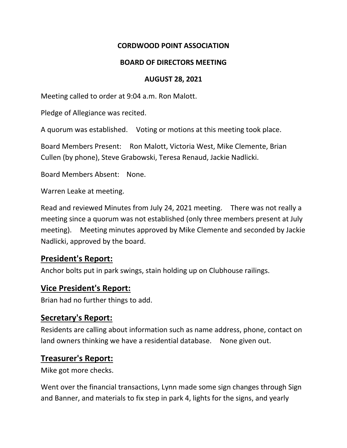#### **CORDWOOD POINT ASSOCIATION**

#### **BOARD OF DIRECTORS MEETING**

#### **AUGUST 28, 2021**

Meeting called to order at 9:04 a.m. Ron Malott.

Pledge of Allegiance was recited.

A quorum was established. Voting or motions at this meeting took place.

Board Members Present: Ron Malott, Victoria West, Mike Clemente, Brian Cullen (by phone), Steve Grabowski, Teresa Renaud, Jackie Nadlicki.

Board Members Absent: None.

Warren Leake at meeting.

Read and reviewed Minutes from July 24, 2021 meeting. There was not really a meeting since a quorum was not established (only three members present at July meeting). Meeting minutes approved by Mike Clemente and seconded by Jackie Nadlicki, approved by the board.

## **President's Report:**

Anchor bolts put in park swings, stain holding up on Clubhouse railings.

#### **Vice President's Report:**

Brian had no further things to add.

## **Secretary's Report:**

Residents are calling about information such as name address, phone, contact on land owners thinking we have a residential database. None given out.

## **Treasurer's Report:**

Mike got more checks.

Went over the financial transactions, Lynn made some sign changes through Sign and Banner, and materials to fix step in park 4, lights for the signs, and yearly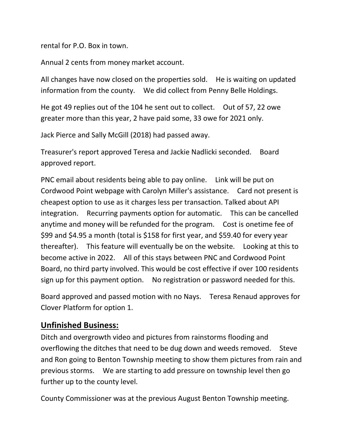rental for P.O. Box in town.

Annual 2 cents from money market account.

All changes have now closed on the properties sold. He is waiting on updated information from the county. We did collect from Penny Belle Holdings.

He got 49 replies out of the 104 he sent out to collect. Out of 57, 22 owe greater more than this year, 2 have paid some, 33 owe for 2021 only.

Jack Pierce and Sally McGill (2018) had passed away.

Treasurer's report approved Teresa and Jackie Nadlicki seconded. Board approved report.

PNC email about residents being able to pay online. Link will be put on Cordwood Point webpage with Carolyn Miller's assistance. Card not present is cheapest option to use as it charges less per transaction. Talked about API integration. Recurring payments option for automatic. This can be cancelled anytime and money will be refunded for the program. Cost is onetime fee of \$99 and \$4.95 a month (total is \$158 for first year, and \$59.40 for every year thereafter). This feature will eventually be on the website. Looking at this to become active in 2022. All of this stays between PNC and Cordwood Point Board, no third party involved. This would be cost effective if over 100 residents sign up for this payment option. No registration or password needed for this.

Board approved and passed motion with no Nays. Teresa Renaud approves for Clover Platform for option 1.

## **Unfinished Business:**

Ditch and overgrowth video and pictures from rainstorms flooding and overflowing the ditches that need to be dug down and weeds removed. Steve and Ron going to Benton Township meeting to show them pictures from rain and previous storms. We are starting to add pressure on township level then go further up to the county level.

County Commissioner was at the previous August Benton Township meeting.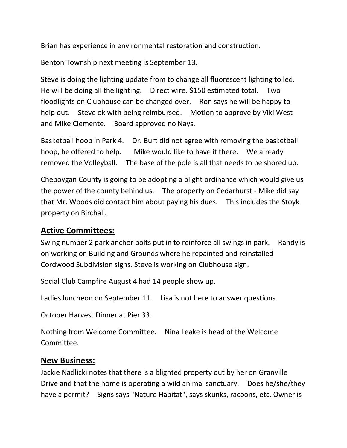Brian has experience in environmental restoration and construction.

Benton Township next meeting is September 13.

Steve is doing the lighting update from to change all fluorescent lighting to led. He will be doing all the lighting. Direct wire. \$150 estimated total. Two floodlights on Clubhouse can be changed over. Ron says he will be happy to help out. Steve ok with being reimbursed. Motion to approve by Viki West and Mike Clemente. Board approved no Nays.

Basketball hoop in Park 4. Dr. Burt did not agree with removing the basketball hoop, he offered to help. Mike would like to have it there. We already removed the Volleyball. The base of the pole is all that needs to be shored up.

Cheboygan County is going to be adopting a blight ordinance which would give us the power of the county behind us. The property on Cedarhurst - Mike did say that Mr. Woods did contact him about paying his dues. This includes the Stoyk property on Birchall.

## **Active Committees:**

Swing number 2 park anchor bolts put in to reinforce all swings in park. Randy is on working on Building and Grounds where he repainted and reinstalled Cordwood Subdivision signs. Steve is working on Clubhouse sign.

Social Club Campfire August 4 had 14 people show up.

Ladies luncheon on September 11. Lisa is not here to answer questions.

October Harvest Dinner at Pier 33.

Nothing from Welcome Committee. Nina Leake is head of the Welcome Committee.

# **New Business:**

Jackie Nadlicki notes that there is a blighted property out by her on Granville Drive and that the home is operating a wild animal sanctuary. Does he/she/they have a permit? Signs says "Nature Habitat", says skunks, racoons, etc. Owner is